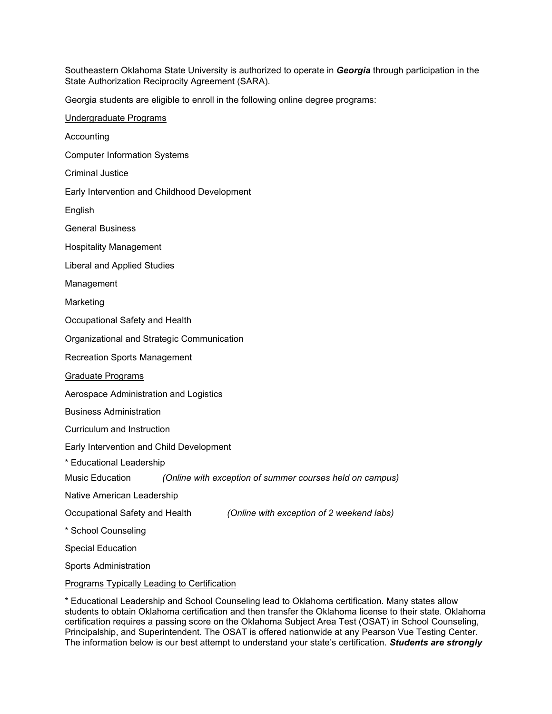Southeastern Oklahoma State University is authorized to operate in *Georgia* through participation in the State Authorization Reciprocity Agreement (SARA).

Georgia students are eligible to enroll in the following online degree programs:

| Undergraduate Programs                                                      |
|-----------------------------------------------------------------------------|
| Accounting                                                                  |
| <b>Computer Information Systems</b>                                         |
| <b>Criminal Justice</b>                                                     |
| Early Intervention and Childhood Development                                |
| English                                                                     |
| <b>General Business</b>                                                     |
| <b>Hospitality Management</b>                                               |
| Liberal and Applied Studies                                                 |
| Management                                                                  |
| Marketing                                                                   |
| Occupational Safety and Health                                              |
| Organizational and Strategic Communication                                  |
| <b>Recreation Sports Management</b>                                         |
| <b>Graduate Programs</b>                                                    |
| Aerospace Administration and Logistics                                      |
| <b>Business Administration</b>                                              |
| Curriculum and Instruction                                                  |
| Early Intervention and Child Development                                    |
| * Educational Leadership                                                    |
| Music Education<br>(Online with exception of summer courses held on campus) |
| Native American Leadership                                                  |
| (Online with exception of 2 weekend labs)<br>Occupational Safety and Health |
| * School Counseling                                                         |
| <b>Special Education</b>                                                    |
| <b>Sports Administration</b>                                                |
| <b>Programs Typically Leading to Certification</b>                          |

\* Educational Leadership and School Counseling lead to Oklahoma certification. Many states allow students to obtain Oklahoma certification and then transfer the Oklahoma license to their state. Oklahoma certification requires a passing score on the Oklahoma Subject Area Test (OSAT) in School Counseling, Principalship, and Superintendent. The OSAT is offered nationwide at any Pearson Vue Testing Center. The information below is our best attempt to understand your state's certification. *Students are strongly*